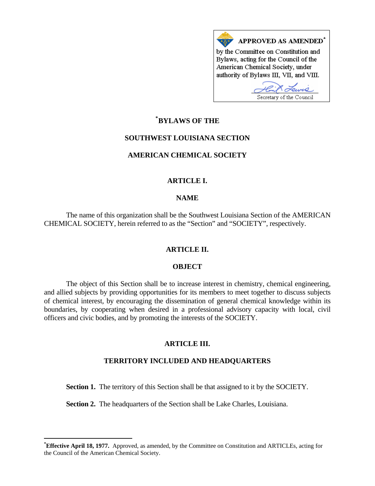

# **\* [BYLAWS OF THE](#page-0-0)**

# **SOUTHWEST LOUISIANA SECTION**

# **AMERICAN CHEMICAL SOCIETY**

# **ARTICLE I.**

### **NAME**

 The name of this organization shall be the Southwest Louisiana Section of the AMERICAN CHEMICAL SOCIETY, herein referred to as the "Section" and "SOCIETY", respectively.

### **ARTICLE II.**

# **OBJECT**

 The object of this Section shall be to increase interest in chemistry, chemical engineering, and allied subjects by providing opportunities for its members to meet together to discuss subjects of chemical interest, by encouraging the dissemination of general chemical knowledge within its boundaries, by cooperating when desired in a professional advisory capacity with local, civil officers and civic bodies, and by promoting the interests of the SOCIETY.

### **ARTICLE III.**

### **TERRITORY INCLUDED AND HEADQUARTERS**

Section 1. The territory of this Section shall be that assigned to it by the SOCIETY.

 **Section 2.** The headquarters of the Section shall be Lake Charles, Louisiana.

1

<span id="page-0-0"></span>**<sup>\*</sup> Effective April 18, 1977.** Approved, as amended, by the Committee on Constitution and ARTICLEs, acting for the Council of the American Chemical Society.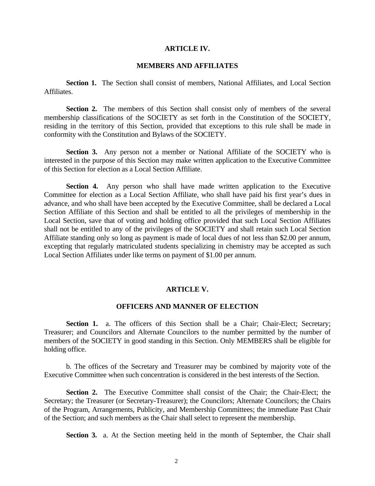#### **ARTICLE IV.**

#### **MEMBERS AND AFFILIATES**

**Section 1.** The Section shall consist of members, National Affiliates, and Local Section Affiliates.

**Section 2.** The members of this Section shall consist only of members of the several membership classifications of the SOCIETY as set forth in the Constitution of the SOCIETY, residing in the territory of this Section, provided that exceptions to this rule shall be made in conformity with the Constitution and Bylaws of the SOCIETY.

**Section 3.** Any person not a member or National Affiliate of the SOCIETY who is interested in the purpose of this Section may make written application to the Executive Committee of this Section for election as a Local Section Affiliate.

**Section 4.** Any person who shall have made written application to the Executive Committee for election as a Local Section Affiliate, who shall have paid his first year's dues in advance, and who shall have been accepted by the Executive Committee, shall be declared a Local Section Affiliate of this Section and shall be entitled to all the privileges of membership in the Local Section, save that of voting and holding office provided that such Local Section Affiliates shall not be entitled to any of the privileges of the SOCIETY and shall retain such Local Section Affiliate standing only so long as payment is made of local dues of not less than \$2.00 per annum, excepting that regularly matriculated students specializing in chemistry may be accepted as such Local Section Affiliates under like terms on payment of \$1.00 per annum.

#### **ARTICLE V.**

# **OFFICERS AND MANNER OF ELECTION**

Section 1. a. The officers of this Section shall be a Chair; Chair-Elect; Secretary; Treasurer; and Councilors and Alternate Councilors to the number permitted by the number of members of the SOCIETY in good standing in this Section. Only MEMBERS shall be eligible for holding office.

 b. The offices of the Secretary and Treasurer may be combined by majority vote of the Executive Committee when such concentration is considered in the best interests of the Section.

**Section 2.** The Executive Committee shall consist of the Chair; the Chair-Elect; the Secretary; the Treasurer (or Secretary-Treasurer); the Councilors; Alternate Councilors; the Chairs of the Program, Arrangements, Publicity, and Membership Committees; the immediate Past Chair of the Section; and such members as the Chair shall select to represent the membership.

**Section 3.** a. At the Section meeting held in the month of September, the Chair shall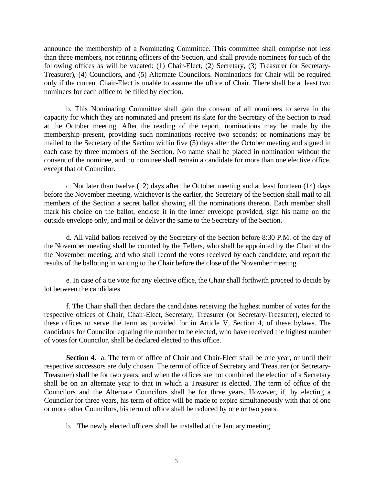announce the membership of a Nominating Committee. This committee shall comprise not less than three members, not retiring officers of the Section, and shall provide nominees for such of the following offices as will be vacated: (1) Chair-Elect, (2) Secretary, (3) Treasurer (or Secretary-Treasurer), (4) Councilors, and (5) Alternate Councilors. Nominations for Chair will be required only if the current Chair-Elect is unable to assume the office of Chair. There shall be at least two nominees for each office to be filled by election.

 b. This Nominating Committee shall gain the consent of all nominees to serve in the capacity for which they are nominated and present its slate for the Secretary of the Section to read at the October meeting. After the reading of the report, nominations may be made by the membership present, providing such nominations receive two seconds; or nominations may be mailed to the Secretary of the Section within five (5) days after the October meeting and signed in each case by three members of the Section. No name shall be placed in nomination without the consent of the nominee, and no nominee shall remain a candidate for more than one elective office, except that of Councilor.

 c. Not later than twelve (12) days after the October meeting and at least fourteen (14) days before the November meeting, whichever is the earlier, the Secretary of the Section shall mail to all members of the Section a secret ballot showing all the nominations thereon. Each member shall mark his choice on the ballot, enclose it in the inner envelope provided, sign his name on the outside envelope only, and mail or deliver the same to the Secretary of the Section.

 d. All valid ballots received by the Secretary of the Section before 8:30 P.M. of the day of the November meeting shall be counted by the Tellers, who shall be appointed by the Chair at the the November meeting, and who shall record the votes received by each candidate, and report the results of the balloting in writing to the Chair before the close of the November meeting.

 e. In case of a tie vote for any elective office, the Chair shall forthwith proceed to decide by lot between the candidates.

 f. The Chair shall then declare the candidates receiving the highest number of votes for the respective offices of Chair, Chair-Elect, Secretary, Treasurer (or Secretary-Treasurer), elected to these offices to serve the term as provided for in Article V, Section 4, of these bylaws. The candidates for Councilor equaling the number to be elected, who have received the highest number of votes for Councilor, shall be declared elected to this office.

 **Section 4**. a. The term of office of Chair and Chair-Elect shall be one year, or until their respective successors are duly chosen. The term of office of Secretary and Treasurer (or Secretary-Treasurer) shall be for two years, and when the offices are not combined the election of a Secretary shall be on an alternate year to that in which a Treasurer is elected. The term of office of the Councilors and the Alternate Councilors shall be for three years. However, if, by electing a Councilor for three years, his term of office will be made to expire simultaneously with that of one or more other Councilors, his term of office shall be reduced by one or two years.

b. The newly elected officers shall be installed at the January meeting.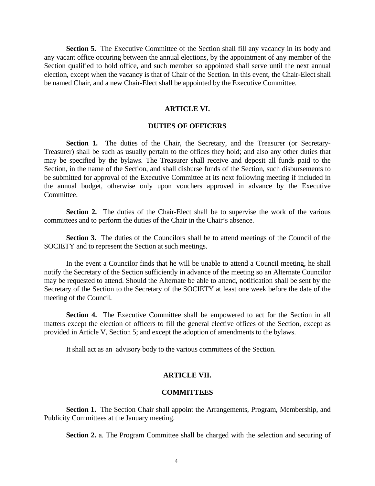**Section 5.** The Executive Committee of the Section shall fill any vacancy in its body and any vacant office occuring between the annual elections, by the appointment of any member of the Section qualified to hold office, and such member so appointed shall serve until the next annual election, except when the vacancy is that of Chair of the Section. In this event, the Chair-Elect shall be named Chair, and a new Chair-Elect shall be appointed by the Executive Committee.

#### **ARTICLE VI.**

# **DUTIES OF OFFICERS**

Section 1. The duties of the Chair, the Secretary, and the Treasurer (or Secretary-Treasurer) shall be such as usually pertain to the offices they hold; and also any other duties that may be specified by the bylaws. The Treasurer shall receive and deposit all funds paid to the Section, in the name of the Section, and shall disburse funds of the Section, such disbursements to be submitted for approval of the Executive Committee at its next following meeting if included in the annual budget, otherwise only upon vouchers approved in advance by the Executive Committee.

**Section 2.** The duties of the Chair-Elect shall be to supervise the work of the various committees and to perform the duties of the Chair in the Chair's absence.

 **Section 3.** The duties of the Councilors shall be to attend meetings of the Council of the SOCIETY and to represent the Section at such meetings.

 In the event a Councilor finds that he will be unable to attend a Council meeting, he shall notify the Secretary of the Section sufficiently in advance of the meeting so an Alternate Councilor may be requested to attend. Should the Alternate be able to attend, notification shall be sent by the Secretary of the Section to the Secretary of the SOCIETY at least one week before the date of the meeting of the Council.

**Section 4.** The Executive Committee shall be empowered to act for the Section in all matters except the election of officers to fill the general elective offices of the Section, except as provided in Article V, Section 5; and except the adoption of amendments to the bylaws.

It shall act as an advisory body to the various committees of the Section.

# **ARTICLE VII.**

#### **COMMITTEES**

**Section 1.** The Section Chair shall appoint the Arrangements, Program, Membership, and Publicity Committees at the January meeting.

 **Section 2.** a. The Program Committee shall be charged with the selection and securing of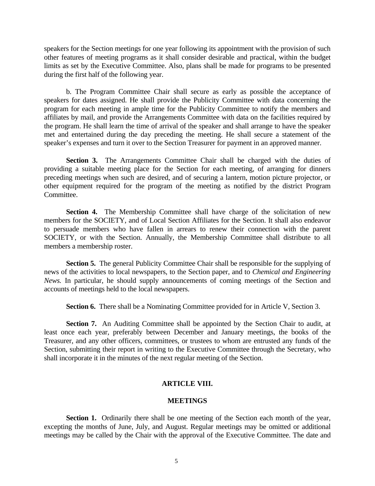speakers for the Section meetings for one year following its appointment with the provision of such other features of meeting programs as it shall consider desirable and practical, within the budget limits as set by the Executive Committee. Also, plans shall be made for programs to be presented during the first half of the following year.

 b. The Program Committee Chair shall secure as early as possible the acceptance of speakers for dates assigned. He shall provide the Publicity Committee with data concerning the program for each meeting in ample time for the Publicity Committee to notify the members and affiliates by mail, and provide the Arrangements Committee with data on the facilities required by the program. He shall learn the time of arrival of the speaker and shall arrange to have the speaker met and entertained during the day preceding the meeting. He shall secure a statement of the speaker's expenses and turn it over to the Section Treasurer for payment in an approved manner.

**Section 3.** The Arrangements Committee Chair shall be charged with the duties of providing a suitable meeting place for the Section for each meeting, of arranging for dinners preceding meetings when such are desired, and of securing a lantern, motion picture projector, or other equipment required for the program of the meeting as notified by the district Program Committee.

**Section 4.** The Membership Committee shall have charge of the solicitation of new members for the SOCIETY, and of Local Section Affiliates for the Section. It shall also endeavor to persuade members who have fallen in arrears to renew their connection with the parent SOCIETY, or with the Section. Annually, the Membership Committee shall distribute to all members a membership roster.

**Section 5.** The general Publicity Committee Chair shall be responsible for the supplying of news of the activities to local newspapers, to the Section paper, and to *Chemical and Engineering News.* In particular, he should supply announcements of coming meetings of the Section and accounts of meetings held to the local newspapers.

**Section 6.** There shall be a Nominating Committee provided for in Article V, Section 3.

**Section 7.** An Auditing Committee shall be appointed by the Section Chair to audit, at least once each year, preferably between December and January meetings, the books of the Treasurer, and any other officers, committees, or trustees to whom are entrusted any funds of the Section, submitting their report in writing to the Executive Committee through the Secretary, who shall incorporate it in the minutes of the next regular meeting of the Section.

#### **ARTICLE VIII.**

#### **MEETINGS**

**Section 1.** Ordinarily there shall be one meeting of the Section each month of the year, excepting the months of June, July, and August. Regular meetings may be omitted or additional meetings may be called by the Chair with the approval of the Executive Committee. The date and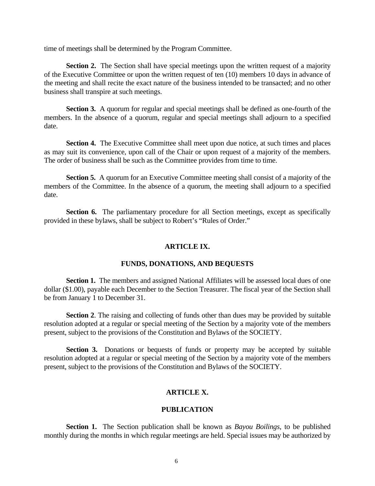time of meetings shall be determined by the Program Committee.

**Section 2.** The Section shall have special meetings upon the written request of a majority of the Executive Committee or upon the written request of ten (10) members 10 days in advance of the meeting and shall recite the exact nature of the business intended to be transacted; and no other business shall transpire at such meetings.

**Section 3.** A quorum for regular and special meetings shall be defined as one-fourth of the members. In the absence of a quorum, regular and special meetings shall adjourn to a specified date.

**Section 4.** The Executive Committee shall meet upon due notice, at such times and places as may suit its convenience, upon call of the Chair or upon request of a majority of the members. The order of business shall be such as the Committee provides from time to time.

**Section 5.** A quorum for an Executive Committee meeting shall consist of a majority of the members of the Committee. In the absence of a quorum, the meeting shall adjourn to a specified date.

**Section 6.** The parliamentary procedure for all Section meetings, except as specifically provided in these bylaws, shall be subject to Robert's "Rules of Order."

#### **ARTICLE IX.**

# **FUNDS, DONATIONS, AND BEQUESTS**

**Section 1.** The members and assigned National Affiliates will be assessed local dues of one dollar (\$1.00), payable each December to the Section Treasurer. The fiscal year of the Section shall be from January 1 to December 31.

**Section 2.** The raising and collecting of funds other than dues may be provided by suitable resolution adopted at a regular or special meeting of the Section by a majority vote of the members present, subject to the provisions of the Constitution and Bylaws of the SOCIETY.

 **Section 3.** Donations or bequests of funds or property may be accepted by suitable resolution adopted at a regular or special meeting of the Section by a majority vote of the members present, subject to the provisions of the Constitution and Bylaws of the SOCIETY.

### **ARTICLE X.**

# **PUBLICATION**

 **Section 1.** The Section publication shall be known as *Bayou Boilings*, to be published monthly during the months in which regular meetings are held. Special issues may be authorized by